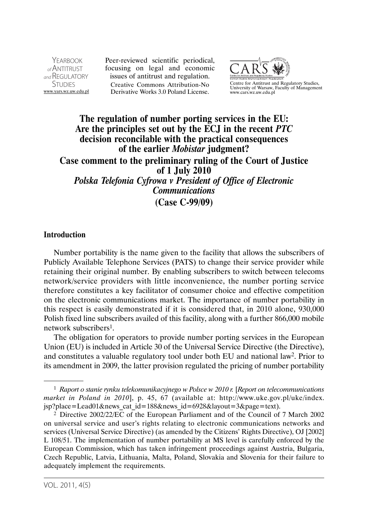YEARROOK  $_{\alpha}$ f ANTITRUST and REGULATORY **STUDIES** www.yars.wz.uw.edu.pl Peer-reviewed scientific periodical, focusing on legal and economic issues of antitrust and regulation. Creative Commons Attribution-No Derivative Works 3.0 Poland License.



Centre for Antitrust and Regulatory Studies, University of Warsaw, Faculty of Management www.cars.wz.uw.edu.pl

# **The regulation of number porting services in the EU: Are the principles set out by the ECJ in the recent** *PTC*  **decision reconcilable with the practical consequences of the earlier** *Mobistar* **judgment? Case comment to the preliminary ruling of the Court of Justice of 1 July 2010**  *Polska Telefonia Cyfrowa v President of Office of Electronic Communications*  **(Case C-99/09)**

#### **Introduction**

Number portability is the name given to the facility that allows the subscribers of Publicly Available Telephone Services (PATS) to change their service provider while retaining their original number. By enabling subscribers to switch between telecoms network/service providers with little inconvenience, the number porting service therefore constitutes a key facilitator of consumer choice and effective competition on the electronic communications market. The importance of number portability in this respect is easily demonstrated if it is considered that, in 2010 alone, 930,000 Polish fixed line subscribers availed of this facility, along with a further 866,000 mobile network subscribers1.

The obligation for operators to provide number porting services in the European Union (EU) is included in Article 30 of the Universal Service Directive (the Directive), and constitutes a valuable regulatory tool under both EU and national law2. Prior to its amendment in 2009, the latter provision regulated the pricing of number portability

<sup>1</sup> *Raport o stanie rynku telekomunikacyjnego w Polsce w 2010 r.* [*Report on telecommunications market in Poland in 2010*], p. 45, 67 (available at: http://www.uke.gov.pl/uke/index. jsp?place=Lead01&news\_cat\_id=188&news\_id=6928&layout=3&page=text).

<sup>2</sup> Directive 2002/22/EC of the European Parliament and of the Council of 7 March 2002 on universal service and user's rights relating to electronic communications networks and services (Universal Service Directive) (as amended by the Citizens' Rights Directive), OJ [2002] L 108/51. The implementation of number portability at MS level is carefully enforced by the European Commission, which has taken infringement proceedings against Austria, Bulgaria, Czech Republic, Latvia, Lithuania, Malta, Poland, Slovakia and Slovenia for their failure to adequately implement the requirements.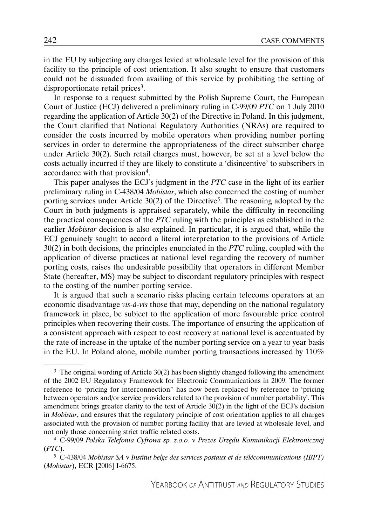in the EU by subjecting any charges levied at wholesale level for the provision of this facility to the principle of cost orientation. It also sought to ensure that customers could not be dissuaded from availing of this service by prohibiting the setting of disproportionate retail prices<sup>3</sup>.

In response to a request submitted by the Polish Supreme Court, the European Court of Justice (ECJ) delivered a preliminary ruling in C-99/09 *PTC* on 1 July 2010 regarding the application of Article 30(2) of the Directive in Poland. In this judgment, the Court clarified that National Regulatory Authorities (NRAs) are required to consider the costs incurred by mobile operators when providing number porting services in order to determine the appropriateness of the direct subscriber charge under Article 30(2). Such retail charges must, however, be set at a level below the costs actually incurred if they are likely to constitute a 'disincentive' to subscribers in accordance with that provision4.

This paper analyses the ECJ's judgment in the *PTC* case in the light of its earlier preliminary ruling in C-438/04 *Mobistar*, which also concerned the costing of number porting services under Article 30(2) of the Directive<sup>5</sup>. The reasoning adopted by the Court in both judgments is appraised separately, while the difficulty in reconciling the practical consequences of the *PTC* ruling with the principles as established in the earlier *Mobistar* decision is also explained. In particular, it is argued that, while the ECJ genuinely sought to accord a literal interpretation to the provisions of Article 30(2) in both decisions, the principles enunciated in the *PTC* ruling, coupled with the application of diverse practices at national level regarding the recovery of number porting costs, raises the undesirable possibility that operators in different Member State (hereafter, MS) may be subject to discordant regulatory principles with respect to the costing of the number porting service.

It is argued that such a scenario risks placing certain telecoms operators at an economic disadvantage *vis-à-vis* those that may, depending on the national regulatory framework in place, be subject to the application of more favourable price control principles when recovering their costs. The importance of ensuring the application of a consistent approach with respect to cost recovery at national level is accentuated by the rate of increase in the uptake of the number porting service on a year to year basis in the EU. In Poland alone, mobile number porting transactions increased by 110%

 $3$  The original wording of Article 30(2) has been slightly changed following the amendment of the 2002 EU Regulatory Framework for Electronic Communications in 2009. The former reference to 'pricing for interconnection" has now been replaced by reference to 'pricing between operators and/or service providers related to the provision of number portability'. This amendment brings greater clarity to the text of Article 30(2) in the light of the ECJ's decision in *Mobistar*, and ensures that the regulatory principle of cost orientation applies to all charges associated with the provision of number porting facility that are levied at wholesale level, and not only those concerning strict traffic related costs.

<sup>4</sup> C-99/09 *Polska Telefonia Cyfrowa sp. z.o.o*. v *Prezes Urzędu Komunikacji Elektronicznej*  (*PTC*).

<sup>5</sup> C-438/04 *Mobistar SA* v *Institut belge des services postaux et de télécommunications (IBPT)*  (*Mobistar*), ECR [2006] I-6675.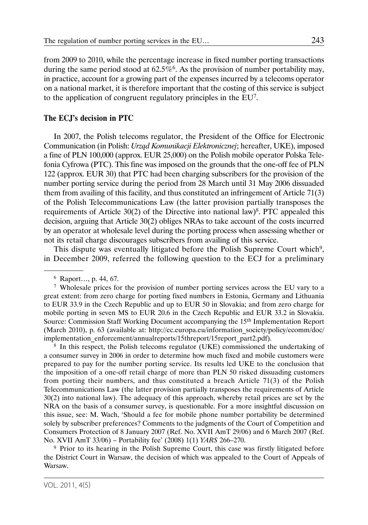from 2009 to 2010, while the percentage increase in fixed number porting transactions during the same period stood at  $62.5\%$ <sup>6</sup>. As the provision of number portability may, in practice, account for a growing part of the expenses incurred by a telecoms operator on a national market, it is therefore important that the costing of this service is subject to the application of congruent regulatory principles in the EU7.

### **The ECJ's decision in PTC**

In 2007, the Polish telecoms regulator, the President of the Office for Electronic Communication (in Polish: *Urząd Komunikacji Elektronicznej*; hereafter, UKE), imposed a fine of PLN 100,000 (approx. EUR 25,000) on the Polish mobile operator Polska Telefonia Cyfrowa (PTC). This fine was imposed on the grounds that the one-off fee of PLN 122 (approx. EUR 30) that PTC had been charging subscribers for the provision of the number porting service during the period from 28 March until 31 May 2006 dissuaded them from availing of this facility, and thus constituted an infringement of Article 71(3) of the Polish Telecommunications Law (the latter provision partially transposes the requirements of Article 30(2) of the Directive into national law)<sup>8</sup>. PTC appealed this decision, arguing that Article 30(2) obliges NRAs to take account of the costs incurred by an operator at wholesale level during the porting process when assessing whether or not its retail charge discourages subscribers from availing of this service.

This dispute was eventually litigated before the Polish Supreme Court which<sup>9</sup>, in December 2009, referred the following question to the ECJ for a preliminary

8 In this respect, the Polish telecoms regulator (UKE) commissioned the undertaking of a consumer survey in 2006 in order to determine how much fixed and mobile customers were prepared to pay for the number porting service. Its results led UKE to the conclusion that the imposition of a one-off retail charge of more than PLN 50 risked dissuading customers from porting their numbers, and thus constituted a breach Article 71(3) of the Polish Telecommunications Law (the latter provision partially transposes the requirements of Article 30(2) into national law). The adequacy of this approach, whereby retail prices are set by the NRA on the basis of a consumer survey, is questionable. For a more insightful discussion on this issue, see: M. Wach, 'Should a fee for mobile phone number portability be determined solely by subscriber preferences? Comments to the judgments of the Court of Competition and Consumers Protection of 8 January 2007 (Ref. No. XVII AmT 29/06) and 6 March 2007 (Ref. No. XVII AmT 33/06) – Portability fee' (2008) 1(1) *YARS* 266–270.

9 Prior to its hearing in the Polish Supreme Court, this case was firstly litigated before the District Court in Warsaw, the decision of which was appealed to the Court of Appeals of Warsaw.

<sup>6</sup> Raport…, p. 44, 67.

 $7$  Wholesale prices for the provision of number porting services across the EU vary to a great extent: from zero charge for porting fixed numbers in Estonia, Germany and Lithuania to EUR 33.9 in the Czech Republic and up to EUR 50 in Slovakia; and from zero charge for mobile porting in seven MS to EUR 20.6 in the Czech Republic and EUR 33.2 in Slovakia. Source: Commission Staff Working Document accompanying the 15th Implementation Report (March 2010), p. 63 (available at: http://ec.europa.eu/information\_society/policy/ecomm/doc/ implementation\_enforcement/annualreports/15threport/15report\_part2.pdf).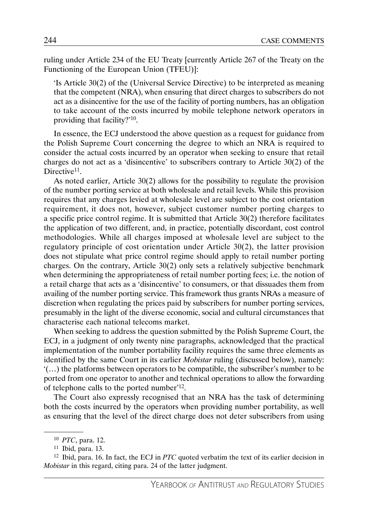ruling under Article 234 of the EU Treaty [currently Article 267 of the Treaty on the Functioning of the European Union (TFEU)]:

'Is Article 30(2) of the (Universal Service Directive) to be interpreted as meaning that the competent (NRA), when ensuring that direct charges to subscribers do not act as a disincentive for the use of the facility of porting numbers, has an obligation to take account of the costs incurred by mobile telephone network operators in providing that facility?'10.

In essence, the ECJ understood the above question as a request for guidance from the Polish Supreme Court concerning the degree to which an NRA is required to consider the actual costs incurred by an operator when seeking to ensure that retail charges do not act as a 'disincentive' to subscribers contrary to Article 30(2) of the Directive<sup>11</sup>.

As noted earlier, Article 30(2) allows for the possibility to regulate the provision of the number porting service at both wholesale and retail levels. While this provision requires that any charges levied at wholesale level are subject to the cost orientation requirement, it does not, however, subject customer number porting charges to a specific price control regime. It is submitted that Article 30(2) therefore facilitates the application of two different, and, in practice, potentially discordant, cost control methodologies. While all charges imposed at wholesale level are subject to the regulatory principle of cost orientation under Article 30(2), the latter provision does not stipulate what price control regime should apply to retail number porting charges. On the contrary, Article 30(2) only sets a relatively subjective benchmark when determining the appropriateness of retail number porting fees; i.e. the notion of a retail charge that acts as a 'disincentive' to consumers, or that dissuades them from availing of the number porting service. This framework thus grants NRAs a measure of discretion when regulating the prices paid by subscribers for number porting services, presumably in the light of the diverse economic, social and cultural circumstances that characterise each national telecoms market.

When seeking to address the question submitted by the Polish Supreme Court, the ECJ, in a judgment of only twenty nine paragraphs, acknowledged that the practical implementation of the number portability facility requires the same three elements as identified by the same Court in its earlier *Mobistar* ruling (discussed below), namely: '(…) the platforms between operators to be compatible, the subscriber's number to be ported from one operator to another and technical operations to allow the forwarding of telephone calls to the ported number'12.

The Court also expressly recognised that an NRA has the task of determining both the costs incurred by the operators when providing number portability, as well as ensuring that the level of the direct charge does not deter subscribers from using

<sup>10</sup> *PTC*, para. 12.

 $11$  Ibid, para. 13.

<sup>12</sup> Ibid, para. 16. In fact, the ECJ in *PTC* quoted verbatim the text of its earlier decision in *Mobistar* in this regard, citing para. 24 of the latter judgment.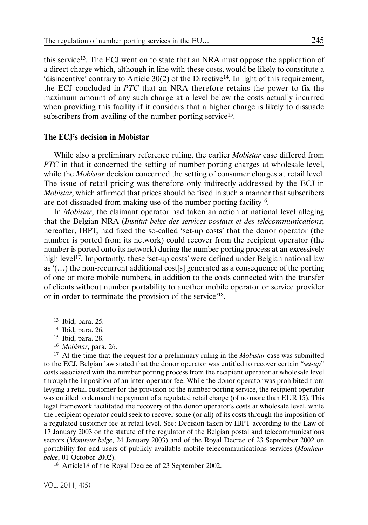this service13. The ECJ went on to state that an NRA must oppose the application of a direct charge which, although in line with these costs, would be likely to constitute a 'disincentive' contrary to Article  $30(2)$  of the Directive<sup>14</sup>. In light of this requirement, the ECJ concluded in *PTC* that an NRA therefore retains the power to fix the maximum amount of any such charge at a level below the costs actually incurred when providing this facility if it considers that a higher charge is likely to dissuade subscribers from availing of the number porting service<sup>15</sup>.

#### **The ECJ's decision in Mobistar**

While also a preliminary reference ruling, the earlier *Mobistar* case differed from *PTC* in that it concerned the setting of number porting charges at wholesale level, while the *Mobistar* decision concerned the setting of consumer charges at retail level. The issue of retail pricing was therefore only indirectly addressed by the ECJ in *Mobistar*, which affirmed that prices should be fixed in such a manner that subscribers are not dissuaded from making use of the number porting facility<sup>16</sup>.

In *Mobistar*, the claimant operator had taken an action at national level alleging that the Belgian NRA (*Institut belge des services postaux et des télécommunications*; hereafter, IBPT, had fixed the so-called 'set-up costs' that the donor operator (the number is ported from its network) could recover from the recipient operator (the number is ported onto its network) during the number porting process at an excessively high level<sup>17</sup>. Importantly, these 'set-up costs' were defined under Belgian national law as '(…) the non-recurrent additional cost[s] generated as a consequence of the porting of one or more mobile numbers, in addition to the costs connected with the transfer of clients without number portability to another mobile operator or service provider or in order to terminate the provision of the service'18.

17 At the time that the request for a preliminary ruling in the *Mobistar* case was submitted to the ECJ, Belgian law stated that the donor operator was entitled to recover certain "*set-up*" costs associated with the number porting process from the recipient operator at wholesale level through the imposition of an inter-operator fee. While the donor operator was prohibited from levying a retail customer for the provision of the number porting service, the recipient operator was entitled to demand the payment of a regulated retail charge (of no more than EUR 15). This legal framework facilitated the recovery of the donor operator's costs at wholesale level, while the recipient operator could seek to recover some (or all) of its costs through the imposition of a regulated customer fee at retail level. See: Decision taken by IBPT according to the Law of 17 January 2003 on the statute of the regulator of the Belgian postal and telecommunications sectors (*Moniteur belge*, 24 January 2003) and of the Royal Decree of 23 September 2002 on portability for end-users of publicly available mobile telecommunications services (*Moniteur belge*, 01 October 2002).

18 Article18 of the Royal Decree of 23 September 2002.

<sup>13</sup> Ibid, para. 25.

<sup>14</sup> Ibid, para. 26.

<sup>15</sup> Ibid, para. 28.

<sup>16</sup> *Mobistar*, para. 26.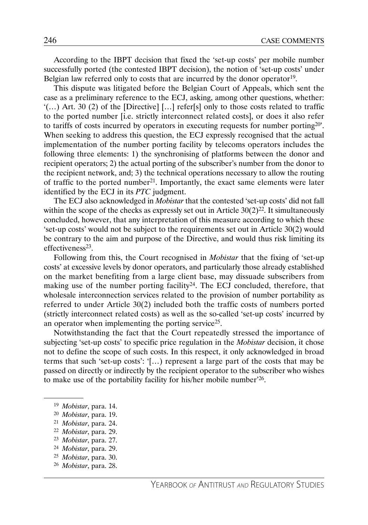According to the IBPT decision that fixed the 'set-up costs' per mobile number successfully ported (the contested IBPT decision), the notion of 'set-up costs' under Belgian law referred only to costs that are incurred by the donor operator<sup>19</sup>.

This dispute was litigated before the Belgian Court of Appeals, which sent the case as a preliminary reference to the ECJ, asking, among other questions, whether:  $'(\ldots)$  Art. 30 (2) of the [Directive] [ $\ldots$ ] refer[s] only to those costs related to traffic to the ported number [i.e. strictly interconnect related costs], or does it also refer to tariffs of costs incurred by operators in executing requests for number porting20'. When seeking to address this question, the ECJ expressly recognised that the actual implementation of the number porting facility by telecoms operators includes the following three elements: 1) the synchronising of platforms between the donor and recipient operators; 2) the actual porting of the subscriber's number from the donor to the recipient network, and; 3) the technical operations necessary to allow the routing of traffic to the ported number<sup>21</sup>. Importantly, the exact same elements were later identified by the ECJ in its *PTC* judgment.

The ECJ also acknowledged in *Mobistar* that the contested 'set-up costs' did not fall within the scope of the checks as expressly set out in Article  $30(2)^{22}$ . It simultaneously concluded, however, that any interpretation of this measure according to which these 'set-up costs' would not be subject to the requirements set out in Article 30(2) would be contrary to the aim and purpose of the Directive, and would thus risk limiting its  $effectiveness<sup>23</sup>$ .

Following from this, the Court recognised in *Mobistar* that the fixing of 'set-up costs' at excessive levels by donor operators, and particularly those already established on the market benefiting from a large client base, may dissuade subscribers from making use of the number porting facility  $24$ . The ECJ concluded, therefore, that wholesale interconnection services related to the provision of number portability as referred to under Article 30(2) included both the traffic costs of numbers ported (strictly interconnect related costs) as well as the so-called 'set-up costs' incurred by an operator when implementing the porting service25.

Notwithstanding the fact that the Court repeatedly stressed the importance of subjecting 'set-up costs' to specific price regulation in the *Mobistar* decision, it chose not to define the scope of such costs. In this respect, it only acknowledged in broad terms that such 'set-up costs': '[…) represent a large part of the costs that may be passed on directly or indirectly by the recipient operator to the subscriber who wishes to make use of the portability facility for his/her mobile number'26.

- <sup>22</sup> *Mobistar*, para. 29.
- <sup>23</sup> *Mobistar*, para. 27.
- <sup>24</sup> *Mobistar*, para. 29.
- <sup>25</sup> *Mobistar*, para. 30.
- <sup>26</sup> *Mobistar*, para. 28.

<sup>19</sup> *Mobistar*, para. 14.

<sup>20</sup> *Mobistar*, para. 19. 21 *Mobistar*, para. 24.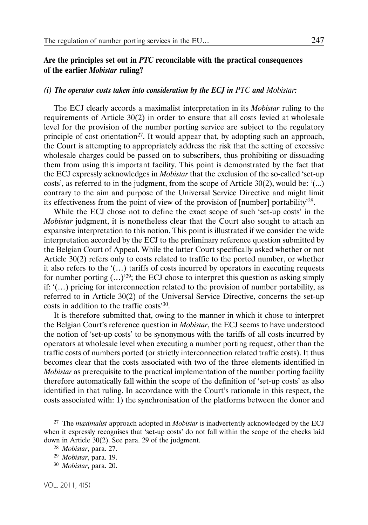#### *(i) The operator costs taken into consideration by the ECJ in PTC and Mobistar:*

The ECJ clearly accords a maximalist interpretation in its *Mobistar* ruling to the requirements of Article 30(2) in order to ensure that all costs levied at wholesale level for the provision of the number porting service are subject to the regulatory principle of cost orientation<sup>27</sup>. It would appear that, by adopting such an approach, the Court is attempting to appropriately address the risk that the setting of excessive wholesale charges could be passed on to subscribers, thus prohibiting or dissuading them from using this important facility. This point is demonstrated by the fact that the ECJ expressly acknowledges in *Mobistar* that the exclusion of the so-called 'set-up costs', as referred to in the judgment, from the scope of Article 30(2), would be: '(...) contrary to the aim and purpose of the Universal Service Directive and might limit its effectiveness from the point of view of the provision of [number] portability'28.

While the ECJ chose not to define the exact scope of such 'set-up costs' in the *Mobistar* judgment, it is nonetheless clear that the Court also sought to attach an expansive interpretation to this notion. This point is illustrated if we consider the wide interpretation accorded by the ECJ to the preliminary reference question submitted by the Belgian Court of Appeal. While the latter Court specifically asked whether or not Article 30(2) refers only to costs related to traffic to the ported number, or whether it also refers to the '(…) tariffs of costs incurred by operators in executing requests for number porting  $(...)^{29}$ ; the ECJ chose to interpret this question as asking simply if: '(…) pricing for interconnection related to the provision of number portability, as referred to in Article 30(2) of the Universal Service Directive, concerns the set-up costs in addition to the traffic costs'30.

It is therefore submitted that, owing to the manner in which it chose to interpret the Belgian Court's reference question in *Mobistar*, the ECJ seems to have understood the notion of 'set-up costs' to be synonymous with the tariffs of all costs incurred by operators at wholesale level when executing a number porting request, other than the traffic costs of numbers ported (or strictly interconnection related traffic costs). It thus becomes clear that the costs associated with two of the three elements identified in *Mobistar* as prerequisite to the practical implementation of the number porting facility therefore automatically fall within the scope of the definition of 'set-up costs' as also identified in that ruling. In accordance with the Court's rationale in this respect, the costs associated with: 1) the synchronisation of the platforms between the donor and

<sup>27</sup> The *maximalist* approach adopted in *Mobistar* is inadvertently acknowledged by the ECJ when it expressly recognises that 'set-up costs' do not fall within the scope of the checks laid down in Article 30(2). See para. 29 of the judgment.

<sup>28</sup> *Mobistar*, para. 27.

<sup>29</sup> *Mobistar*, para. 19.

<sup>30</sup> *Mobistar*, para. 20.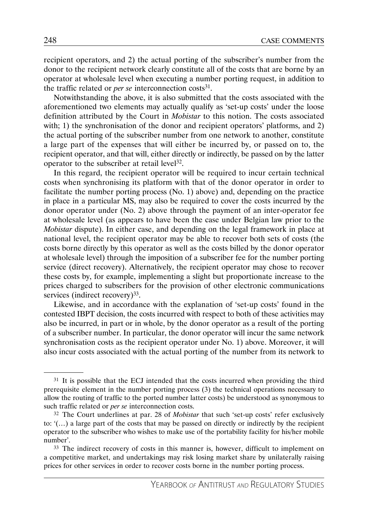recipient operators, and 2) the actual porting of the subscriber's number from the donor to the recipient network clearly constitute all of the costs that are borne by an operator at wholesale level when executing a number porting request, in addition to the traffic related or *per se* interconnection costs<sup>31</sup>.

Notwithstanding the above, it is also submitted that the costs associated with the aforementioned two elements may actually qualify as 'set-up costs' under the loose definition attributed by the Court in *Mobistar* to this notion. The costs associated with; 1) the synchronisation of the donor and recipient operators' platforms, and 2) the actual porting of the subscriber number from one network to another, constitute a large part of the expenses that will either be incurred by, or passed on to, the recipient operator, and that will, either directly or indirectly, be passed on by the latter operator to the subscriber at retail level<sup>32</sup>.

In this regard, the recipient operator will be required to incur certain technical costs when synchronising its platform with that of the donor operator in order to facilitate the number porting process (No. 1) above) and, depending on the practice in place in a particular MS, may also be required to cover the costs incurred by the donor operator under (No. 2) above through the payment of an inter-operator fee at wholesale level (as appears to have been the case under Belgian law prior to the *Mobistar* dispute). In either case, and depending on the legal framework in place at national level, the recipient operator may be able to recover both sets of costs (the costs borne directly by this operator as well as the costs billed by the donor operator at wholesale level) through the imposition of a subscriber fee for the number porting service (direct recovery). Alternatively, the recipient operator may chose to recover these costs by, for example, implementing a slight but proportionate increase to the prices charged to subscribers for the provision of other electronic communications services (indirect recovery)<sup>33</sup>.

Likewise, and in accordance with the explanation of 'set-up costs' found in the contested IBPT decision, the costs incurred with respect to both of these activities may also be incurred, in part or in whole, by the donor operator as a result of the porting of a subscriber number. In particular, the donor operator will incur the same network synchronisation costs as the recipient operator under No. 1) above. Moreover, it will also incur costs associated with the actual porting of the number from its network to

 $31$  It is possible that the ECJ intended that the costs incurred when providing the third prerequisite element in the number porting process (3) the technical operations necessary to allow the routing of traffic to the ported number latter costs) be understood as synonymous to such traffic related or *per se* interconnection costs.

<sup>32</sup> The Court underlines at par. 28 of *Mobistar* that such 'set-up costs' refer exclusively to: '(…) a large part of the costs that may be passed on directly or indirectly by the recipient operator to the subscriber who wishes to make use of the portability facility for his/her mobile number'.

<sup>&</sup>lt;sup>33</sup> The indirect recovery of costs in this manner is, however, difficult to implement on a competitive market, and undertakings may risk losing market share by unilaterally raising prices for other services in order to recover costs borne in the number porting process.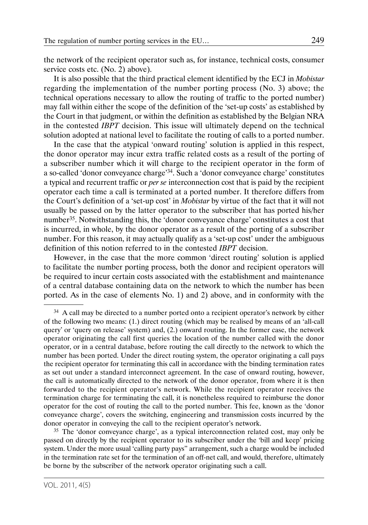the network of the recipient operator such as, for instance, technical costs, consumer service costs etc. (No. 2) above).

It is also possible that the third practical element identified by the ECJ in *Mobistar* regarding the implementation of the number porting process (No. 3) above; the technical operations necessary to allow the routing of traffic to the ported number) may fall within either the scope of the definition of the 'set-up costs' as established by the Court in that judgment, or within the definition as established by the Belgian NRA in the contested *IBPT* decision. This issue will ultimately depend on the technical solution adopted at national level to facilitate the routing of calls to a ported number.

In the case that the atypical 'onward routing' solution is applied in this respect, the donor operator may incur extra traffic related costs as a result of the porting of a subscriber number which it will charge to the recipient operator in the form of a so-called 'donor conveyance charge'34. Such a 'donor conveyance charge' constitutes a typical and recurrent traffic or *per se* interconnection cost that is paid by the recipient operator each time a call is terminated at a ported number. It therefore differs from the Court's definition of a 'set-up cost' in *Mobistar* by virtue of the fact that it will not usually be passed on by the latter operator to the subscriber that has ported his/her number<sup>35</sup>. Notwithstanding this, the 'donor conveyance charge' constitutes a cost that is incurred, in whole, by the donor operator as a result of the porting of a subscriber number. For this reason, it may actually qualify as a 'set-up cost' under the ambiguous definition of this notion referred to in the contested *IBPT* decision.

However, in the case that the more common 'direct routing' solution is applied to facilitate the number porting process, both the donor and recipient operators will be required to incur certain costs associated with the establishment and maintenance of a central database containing data on the network to which the number has been ported. As in the case of elements No. 1) and 2) above, and in conformity with the

<sup>35</sup> The 'donor conveyance charge', as a typical interconnection related cost, may only be passed on directly by the recipient operator to its subscriber under the 'bill and keep' pricing system. Under the more usual 'calling party pays" arrangement, such a charge would be included in the termination rate set for the termination of an off-net call, and would, therefore, ultimately be borne by the subscriber of the network operator originating such a call.

<sup>&</sup>lt;sup>34</sup> A call may be directed to a number ported onto a recipient operator's network by either of the following two means: (1.) direct routing (which may be realised by means of an 'all-call query' or 'query on release' system) and, (2.) onward routing. In the former case, the network operator originating the call first queries the location of the number called with the donor operator, or in a central database, before routing the call directly to the network to which the number has been ported. Under the direct routing system, the operator originating a call pays the recipient operator for terminating this call in accordance with the binding termination rates as set out under a standard interconnect agreement. In the case of onward routing, however, the call is automatically directed to the network of the donor operator, from where it is then forwarded to the recipient operator's network. While the recipient operator receives the termination charge for terminating the call, it is nonetheless required to reimburse the donor operator for the cost of routing the call to the ported number. This fee, known as the 'donor conveyance charge', covers the switching, engineering and transmission costs incurred by the donor operator in conveying the call to the recipient operator's network.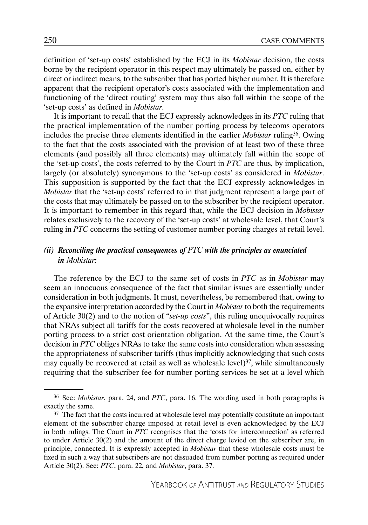definition of 'set-up costs' established by the ECJ in its *Mobistar* decision, the costs borne by the recipient operator in this respect may ultimately be passed on, either by direct or indirect means, to the subscriber that has ported his/her number. It is therefore apparent that the recipient operator's costs associated with the implementation and functioning of the 'direct routing' system may thus also fall within the scope of the 'set-up costs' as defined in *Mobistar*.

It is important to recall that the ECJ expressly acknowledges in its *PTC* ruling that the practical implementation of the number porting process by telecoms operators includes the precise three elements identified in the earlier *Mobistar* ruling36. Owing to the fact that the costs associated with the provision of at least two of these three elements (and possibly all three elements) may ultimately fall within the scope of the 'set-up costs', the costs referred to by the Court in *PTC* are thus, by implication, largely (or absolutely) synonymous to the 'set-up costs' as considered in *Mobistar*. This supposition is supported by the fact that the ECJ expressly acknowledges in *Mobistar* that the 'set-up costs' referred to in that judgment represent a large part of the costs that may ultimately be passed on to the subscriber by the recipient operator. It is important to remember in this regard that, while the ECJ decision in *Mobistar* relates exclusively to the recovery of the 'set-up costs' at wholesale level, that Court's ruling in *PTC* concerns the setting of customer number porting charges at retail level.

## *(ii) Reconciling the practical consequences of PTC with the principles as enunciated in Mobistar:*

The reference by the ECJ to the same set of costs in *PTC* as in *Mobistar* may seem an innocuous consequence of the fact that similar issues are essentially under consideration in both judgments. It must, nevertheless, be remembered that, owing to the expansive interpretation accorded by the Court in *Mobistar* to both the requirements of Article 30(2) and to the notion of "*set-up costs*", this ruling unequivocally requires that NRAs subject all tariffs for the costs recovered at wholesale level in the number porting process to a strict cost orientation obligation. At the same time, the Court's decision in *PTC* obliges NRAs to take the same costs into consideration when assessing the appropriateness of subscriber tariffs (thus implicitly acknowledging that such costs may equally be recovered at retail as well as wholesale level) $37$ , while simultaneously requiring that the subscriber fee for number porting services be set at a level which

<sup>36</sup> See: *Mobistar*, para. 24, and *PTC*, para. 16. The wording used in both paragraphs is exactly the same.

<sup>&</sup>lt;sup>37</sup> The fact that the costs incurred at wholesale level may potentially constitute an important element of the subscriber charge imposed at retail level is even acknowledged by the ECJ in both rulings. The Court in *PTC* recognises that the 'costs for interconnection' as referred to under Article 30(2) and the amount of the direct charge levied on the subscriber are, in principle, connected. It is expressly accepted in *Mobistar* that these wholesale costs must be fixed in such a way that subscribers are not dissuaded from number porting as required under Article 30(2). See: *PTC*, para. 22, and *Mobistar*, para. 37.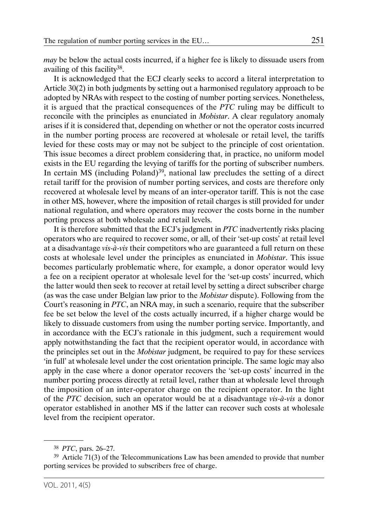*may* be below the actual costs incurred, if a higher fee is likely to dissuade users from availing of this facility38.

It is acknowledged that the ECJ clearly seeks to accord a literal interpretation to Article 30(2) in both judgments by setting out a harmonised regulatory approach to be adopted by NRAs with respect to the costing of number porting services. Nonetheless, it is argued that the practical consequences of the *PTC* ruling may be difficult to reconcile with the principles as enunciated in *Mobistar*. A clear regulatory anomaly arises if it is considered that, depending on whether or not the operator costs incurred in the number porting process are recovered at wholesale or retail level, the tariffs levied for these costs may or may not be subject to the principle of cost orientation. This issue becomes a direct problem considering that, in practice, no uniform model exists in the EU regarding the levying of tariffs for the porting of subscriber numbers. In certain MS (including Poland)<sup>39</sup>, national law precludes the setting of a direct retail tariff for the provision of number porting services, and costs are therefore only recovered at wholesale level by means of an inter-operator tariff. This is not the case in other MS, however, where the imposition of retail charges is still provided for under national regulation, and where operators may recover the costs borne in the number porting process at both wholesale and retail levels.

It is therefore submitted that the ECJ's judgment in *PTC* inadvertently risks placing operators who are required to recover some, or all, of their 'set-up costs' at retail level at a disadvantage *vis-à-vis* their competitors who are guaranteed a full return on these costs at wholesale level under the principles as enunciated in *Mobistar*. This issue becomes particularly problematic where, for example, a donor operator would levy a fee on a recipient operator at wholesale level for the 'set-up costs' incurred, which the latter would then seek to recover at retail level by setting a direct subscriber charge (as was the case under Belgian law prior to the *Mobistar* dispute). Following from the Court's reasoning in *PTC*, an NRA may, in such a scenario, require that the subscriber fee be set below the level of the costs actually incurred, if a higher charge would be likely to dissuade customers from using the number porting service. Importantly, and in accordance with the ECJ's rationale in this judgment, such a requirement would apply notwithstanding the fact that the recipient operator would, in accordance with the principles set out in the *Mobistar* judgment, be required to pay for these services 'in full' at wholesale level under the cost orientation principle. The same logic may also apply in the case where a donor operator recovers the 'set-up costs' incurred in the number porting process directly at retail level, rather than at wholesale level through the imposition of an inter-operator charge on the recipient operator. In the light of the *PTC* decision, such an operator would be at a disadvantage *vis-à-vis* a donor operator established in another MS if the latter can recover such costs at wholesale level from the recipient operator.

<sup>38</sup> *PTC*, pars. 26–27.

<sup>&</sup>lt;sup>39</sup> Article 71(3) of the Telecommunications Law has been amended to provide that number porting services be provided to subscribers free of charge.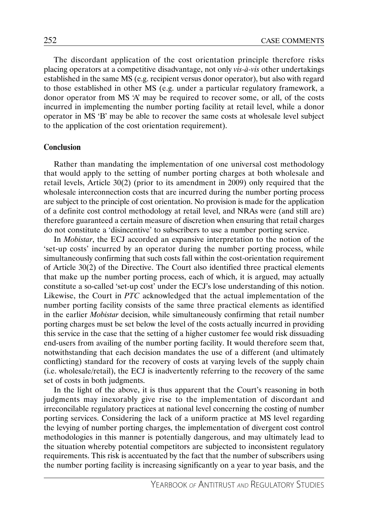The discordant application of the cost orientation principle therefore risks placing operators at a competitive disadvantage, not only *vis-à-vis* other undertakings established in the same MS (e.g. recipient versus donor operator), but also with regard to those established in other MS (e.g. under a particular regulatory framework, a donor operator from MS 'A' may be required to recover some, or all, of the costs incurred in implementing the number porting facility at retail level, while a donor operator in MS 'B' may be able to recover the same costs at wholesale level subject to the application of the cost orientation requirement).

#### **Conclusion**

Rather than mandating the implementation of one universal cost methodology that would apply to the setting of number porting charges at both wholesale and retail levels, Article 30(2) (prior to its amendment in 2009) only required that the wholesale interconnection costs that are incurred during the number porting process are subject to the principle of cost orientation. No provision is made for the application of a definite cost control methodology at retail level, and NRAs were (and still are) therefore guaranteed a certain measure of discretion when ensuring that retail charges do not constitute a 'disincentive' to subscribers to use a number porting service.

In *Mobistar*, the ECJ accorded an expansive interpretation to the notion of the 'set-up costs' incurred by an operator during the number porting process, while simultaneously confirming that such costs fall within the cost-orientation requirement of Article 30(2) of the Directive. The Court also identified three practical elements that make up the number porting process, each of which, it is argued, may actually constitute a so-called 'set-up cost' under the ECJ's lose understanding of this notion. Likewise, the Court in *PTC* acknowledged that the actual implementation of the number porting facility consists of the same three practical elements as identified in the earlier *Mobistar* decision, while simultaneously confirming that retail number porting charges must be set below the level of the costs actually incurred in providing this service in the case that the setting of a higher customer fee would risk dissuading end-users from availing of the number porting facility. It would therefore seem that, notwithstanding that each decision mandates the use of a different (and ultimately conflicting) standard for the recovery of costs at varying levels of the supply chain (i.e. wholesale/retail), the ECJ is inadvertently referring to the recovery of the same set of costs in both judgments.

In the light of the above, it is thus apparent that the Court's reasoning in both judgments may inexorably give rise to the implementation of discordant and irreconcilable regulatory practices at national level concerning the costing of number porting services. Considering the lack of a uniform practice at MS level regarding the levying of number porting charges, the implementation of divergent cost control methodologies in this manner is potentially dangerous, and may ultimately lead to the situation whereby potential competitors are subjected to inconsistent regulatory requirements. This risk is accentuated by the fact that the number of subscribers using the number porting facility is increasing significantly on a year to year basis, and the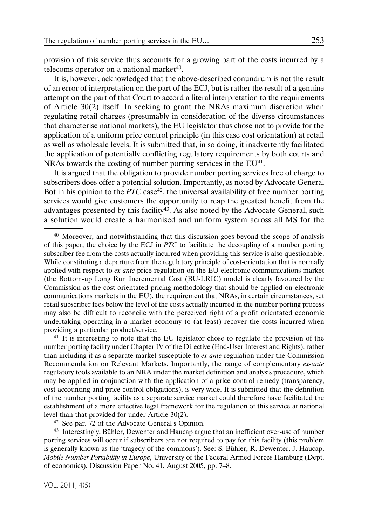provision of this service thus accounts for a growing part of the costs incurred by a telecoms operator on a national market $40$ .

It is, however, acknowledged that the above-described conundrum is not the result of an error of interpretation on the part of the ECJ, but is rather the result of a genuine attempt on the part of that Court to accord a literal interpretation to the requirements of Article 30(2) itself. In seeking to grant the NRAs maximum discretion when regulating retail charges (presumably in consideration of the diverse circumstances that characterise national markets), the EU legislator thus chose not to provide for the application of a uniform price control principle (in this case cost orientation) at retail as well as wholesale levels. It is submitted that, in so doing, it inadvertently facilitated the application of potentially conflicting regulatory requirements by both courts and NRAs towards the costing of number porting services in the EU<sup>41</sup>.

It is argued that the obligation to provide number porting services free of charge to subscribers does offer a potential solution. Importantly, as noted by Advocate General Bot in his opinion to the *PTC* case<sup>42</sup>, the universal availability of free number porting services would give customers the opportunity to reap the greatest benefit from the advantages presented by this facility<sup>43</sup>. As also noted by the Advocate General, such a solution would create a harmonised and uniform system across all MS for the

<sup>41</sup> It is interesting to note that the EU legislator chose to regulate the provision of the number porting facility under Chapter IV of the Directive (End-User Interest and Rights), rather than including it as a separate market susceptible to *ex-ante* regulation under the Commission Recommendation on Relevant Markets. Importantly, the range of complementary *ex-ante* regulatory tools available to an NRA under the market definition and analysis procedure, which may be applied in conjunction with the application of a price control remedy (transparency, cost accounting and price control obligations), is very wide. It is submitted that the definition of the number porting facility as a separate service market could therefore have facilitated the establishment of a more effective legal framework for the regulation of this service at national level than that provided for under Article 30(2).

42 See par. 72 of the Advocate General's Opinion.

43 Interestingly, Bühler, Dewenter and Haucap argue that an inefficient over-use of number porting services will occur if subscribers are not required to pay for this facility (this problem is generally known as the 'tragedy of the commons'). See: S. Bühler, R. Dewenter, J. Haucap, *Mobile Number Portability in Europe*, University of the Federal Armed Forces Hamburg (Dept. of economics), Discussion Paper No. 41, August 2005, pp. 7–8.

<sup>&</sup>lt;sup>40</sup> Moreover, and notwithstanding that this discussion goes beyond the scope of analysis of this paper, the choice by the ECJ in *PTC* to facilitate the decoupling of a number porting subscriber fee from the costs actually incurred when providing this service is also questionable. While constituting a departure from the regulatory principle of cost-orientation that is normally applied with respect to *ex-ante* price regulation on the EU electronic communications market (the Bottom-up Long Run Incremental Cost (BU-LRIC) model is clearly favoured by the Commission as the cost-orientated pricing methodology that should be applied on electronic communications markets in the EU), the requirement that NRAs, in certain circumstances, set retail subscriber fees below the level of the costs actually incurred in the number porting process may also be difficult to reconcile with the perceived right of a profit orientated economic undertaking operating in a market economy to (at least) recover the costs incurred when providing a particular product/service.